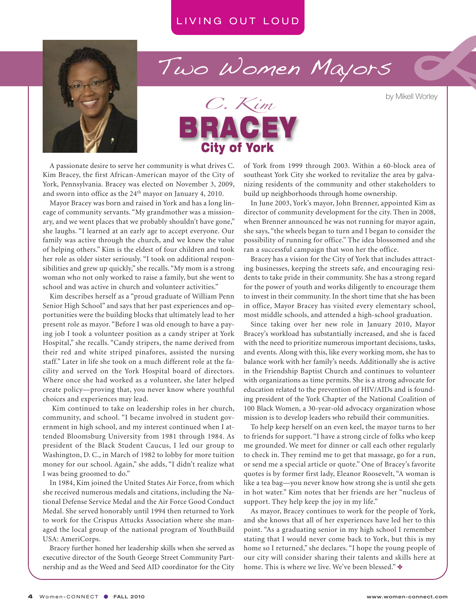

# Two Women Mayors

by Mikell Worley



A passionate desire to serve her community is what drives C. Kim Bracey, the first African-American mayor of the City of York, Pennsylvania. Bracey was elected on November 3, 2009, and sworn into office as the 24th mayor on January 4, 2010.

Mayor Bracey was born and raised in York and has a long lineage of community servants. "My grandmother was a missionary, and we went places that we probably shouldn't have gone," she laughs. "I learned at an early age to accept everyone. Our family was active through the church, and we knew the value of helping others." Kim is the eldest of four children and took her role as older sister seriously. "I took on additional responsibilities and grew up quickly," she recalls. "My mom is a strong woman who not only worked to raise a family, but she went to school and was active in church and volunteer activities."

Kim describes herself as a "proud graduate of William Penn Senior High School" and says that her past experiences and opportunities were the building blocks that ultimately lead to her present role as mayor. "Before I was old enough to have a paying job I took a volunteer position as a candy striper at York Hospital," she recalls. "Candy stripers, the name derived from their red and white striped pinafores, assisted the nursing staff." Later in life she took on a much different role at the facility and served on the York Hospital board of directors. Where once she had worked as a volunteer, she later helped create policy—proving that, you never know where youthful choices and experiences may lead.

Kim continued to take on leadership roles in her church, community, and school. "I became involved in student government in high school, and my interest continued when I attended Bloomsburg University from 1981 through 1984. As president of the Black Student Caucus, I led our group to Washington, D. C., in March of 1982 to lobby for more tuition money for our school. Again," she adds, "I didn't realize what I was being groomed to do."

In 1984, Kim joined the United States Air Force, from which she received numerous medals and citations, including the National Defense Service Medal and the Air Force Good Conduct Medal. She served honorably until 1994 then returned to York to work for the Crispus Attucks Association where she managed the local group of the national program of YouthBuild USA: AmeriCorps.

Bracey further honed her leadership skills when she served as executive director of the South George Street Community Partnership and as the Weed and Seed AID coordinator for the City of York from 1999 through 2003. Within a 60-block area of southeast York City she worked to revitalize the area by galvanizing residents of the community and other stakeholders to build up neighborhoods through home ownership.

In June 2003, York's mayor, John Brenner, appointed Kim as director of community development for the city. Then in 2008, when Brenner announced he was not running for mayor again, she says, "the wheels began to turn and I began to consider the possibility of running for office." The idea blossomed and she ran a successful campaign that won her the office.

Bracey has a vision for the City of York that includes attracting businesses, keeping the streets safe, and encouraging residents to take pride in their community. She has a strong regard for the power of youth and works diligently to encourage them to invest in their community. In the short time that she has been in office, Mayor Bracey has visited every elementary school, most middle schools, and attended a high-school graduation.

Since taking over her new role in January 2010, Mayor Bracey's workload has substantially increased, and she is faced with the need to prioritize numerous important decisions, tasks, and events. Along with this, like every working mom, she has to balance work with her family's needs. Additionally she is active in the Friendship Baptist Church and continues to volunteer with organizations as time permits. She is a strong advocate for education related to the prevention of HIV/AIDs and is founding president of the York Chapter of the National Coalition of 100 Black Women, a 30-year-old advocacy organization whose mission is to develop leaders who rebuild their communities.

To help keep herself on an even keel, the mayor turns to her to friends for support. "I have a strong circle of folks who keep me grounded. We meet for dinner or call each other regularly to check in. They remind me to get that massage, go for a run, or send me a special article or quote." One of Bracey's favorite quotes is by former first lady, Eleanor Roosevelt, "A woman is like a tea bag—you never know how strong she is until she gets in hot water." Kim notes that her friends are her "nucleus of support. They help keep the joy in my life."

As mayor, Bracey continues to work for the people of York, and she knows that all of her experiences have led her to this point. "As a graduating senior in my high school I remember stating that I would never come back to York, but this is my home so I returned," she declares. "I hope the young people of our city will consider sharing their talents and skills here at home. This is where we live. We've been blessed."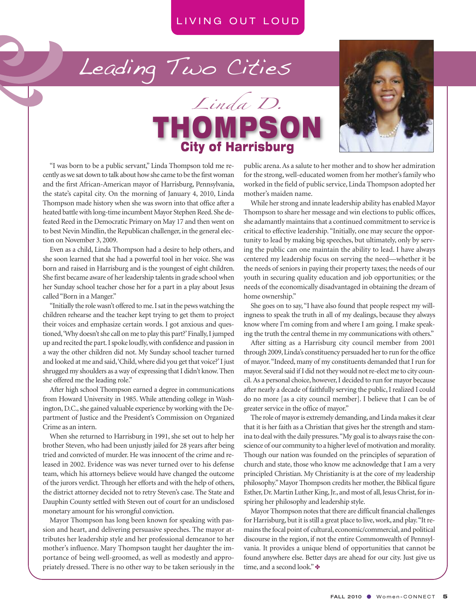Leading Two Cities





"I was born to be a public servant," Linda Thompson told me recently as we sat down to talk about how she came to be the first woman and the first African-American mayor of Harrisburg, Pennsylvania, the state's capital city. On the morning of January 4, 2010, Linda Thompson made history when she was sworn into that office after a heated battle with long-time incumbent Mayor Stephen Reed. She defeated Reed in the Democratic Primary on May 17 and then went on to best Nevin Mindlin, the Republican challenger, in the general election on November 3, 2009.

Even as a child, Linda Thompson had a desire to help others, and she soon learned that she had a powerful tool in her voice. She was born and raised in Harrisburg and is the youngest of eight children. She first became aware of her leadership talents in grade school when her Sunday school teacher chose her for a part in a play about Jesus called"Born in a Manger."

"Initially the rolewasn't offered to me.Isatin the pewswatching the children rehearse and the teacher kept trying to get them to project their voices and emphasize certain words. I got anxious and questioned, 'Why doesn't she call on me to play this part?' Finally, I jumped up and recited the part.Ispoke loudly,with confidence and passion in a way the other children did not. My Sunday school teacher turned and looked at me and said, 'Child, where did you get that voice?' I just shrugged my shoulders as a way of expressing that I didn't know. Then she offered me the leading role."

After high school Thompson earned a degree in communications from Howard University in 1985. While attending college in Washington, D.C., she gained valuable experience by working with the Department of Justice and the President's Commission on Organized Crime as an intern.

When she returned to Harrisburg in 1991, she set out to help her brother Steven, who had been unjustly jailed for 28 years after being tried and convicted of murder. He was innocent of the crime and released in 2002. Evidence was was never turned over to his defense team, which his attorneys believe would have changed the outcome of the jurors verdict. Through her efforts and with the help of others, the district attorney decided not to retry Steven's case. The State and Dauphin County settled with Steven out of court for an undisclosed monetary amount for his wrongful conviction.

Mayor Thompson has long been known for speaking with passion and heart, and delivering persuasive speeches. The mayor attributes her leadership style and her professional demeanor to her mother's influence. Mary Thompson taught her daughter the importance of being well-groomed, as well as modestly and appropriately dressed. There is no other way to be taken seriously in the public arena.As a salute to her mother and to show her admiration for the strong, well-educated women from her mother's family who worked in the field of public service, Linda Thompson adopted her mother's maiden name.

While her strong and innate leadership ability has enabled Mayor Thompson to share her message and win elections to public offices, she adamantly maintains that a continued commitment to service is critical to effective leadership. "Initially, one may secure the opportunity to lead by making big speeches, but ultimately, only by serving the public can one maintain the ability to lead. I have always centered my leadership focus on serving the need—whether it be the needs of seniors in paying their property taxes; the needs of our youth in securing quality education and job opportunities; or the needs of the economically disadvantaged in obtaining the dream of home ownership."

She goes on to say, "I have also found that people respect my willingness to speak the truth in all of my dealings, because they always know where I'm coming from and where I am going. I make speaking the truth the central theme in my communications with others."

After sitting as a Harrisburg city council member from 2001 through 2009, Linda's constituency persuaded her to run for the office of mayor."Indeed, many of my constituents demanded that Irun for mayor. Several said if I did not they would not re-elect me to city council.As a personal choice, however,I decided to run for mayor because after nearly a decade of faithfully serving the public, I realized I could do no more [as a city council member]. I believe that I can be of greater service in the office of mayor."

The role of mayor is extremely demanding, and Linda makes it clear that it is her faith as a Christian that gives her the strength and stamina to deal with the daily pressures. "My goal is to always raise the conscience of our community to a higher level of motivation and morality. Though our nation was founded on the principles of separation of church and state, those who know me acknowledge that I am a very principled Christian. My Christianity is at the core of my leadership philosophy." Mayor Thompson credits her mother, the Biblical figure Esther, Dr. Martin Luther King, Jr., and most of all, Jesus Christ, for inspiring her philosophy and leadership style.

Mayor Thompson notes that there are difficult financial challenges for Harrisburg, but it is still a great place to live, work, and play. "It remainsthe focal point of cultural, economic/commercial, and political discourse in the region, if not the entire Commonwealth of Pennsylvania. It provides a unique blend of opportunities that cannot be found anywhere else. Better days are ahead for our city. Just give us time, and a second look." ❖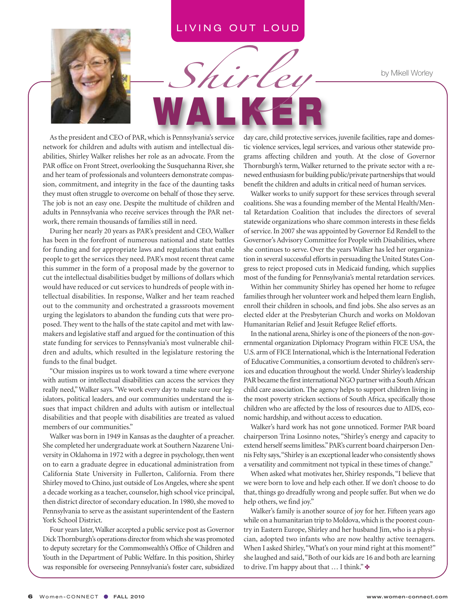**WA L K E R**

*Shirley*

by Mikell Worley



As the president and CEO of PAR, which is Pennsylvania's service network for children and adults with autism and intellectual disabilities, Shirley Walker relishes her role as an advocate. From the PAR office on Front Street, overlooking the Susquehanna River, she and her team of professionals and volunteers demonstrate compassion, commitment, and integrity in the face of the daunting tasks they must often struggle to overcome on behalf of those they serve. The job is not an easy one. Despite the multitude of children and adults in Pennsylvania who receive services through the PAR network, there remain thousands of families still in need.

During her nearly 20 years as PAR's president and CEO, Walker has been in the forefront of numerous national and state battles for funding and for appropriate laws and regulations that enable people to get the services they need. PAR's most recent threat came this summer in the form of a proposal made by the governor to cut the intellectual disabilities budget by millions of dollars which would have reduced or cut services to hundreds of people with intellectual disabilities. In response, Walker and her team reached out to the community and orchestrated a grassroots movement urging the legislators to abandon the funding cuts that were proposed. They went to the halls of the state capitol and met with lawmakers and legislative staff and argued for the continuation of this state funding for services to Pennsylvania's most vulnerable children and adults, which resulted in the legislature restoring the funds to the final budget.

"Our mission inspires us to work toward a time where everyone with autism or intellectual disabilities can access the services they really need,"Walker says. "We work every day to make sure our legislators, political leaders, and our communities understand the issues that impact children and adults with autism or intellectual disabilities and that people with disabilities are treated as valued members of our communities."

Walker was born in 1949 in Kansas as the daughter of a preacher. She completed her undergraduate work at Southern Nazarene University in Oklahoma in 1972 with a degree in psychology, then went on to earn a graduate degree in educational administration from California State University in Fullerton, California. From there Shirley moved to Chino, just outside of Los Angeles, where she spent a decade working as a teacher, counselor, high school vice principal, then district director of secondary education. In 1980, she moved to Pennsylvania to serve as the assistant superintendent of the Eastern York School District.

Four years later, Walker accepted a public service post as Governor Dick Thornburgh's operations director from which she was promoted to deputy secretary for the Commonwealth's Office of Children and Youth in the Department of Public Welfare. In this position, Shirley was responsible for overseeing Pennsylvania's foster care, subsidized day care, child protective services, juvenile facilities, rape and domestic violence services, legal services, and various other statewide programs affecting children and youth. At the close of Governor Thornburgh's term, Walker returned to the private sector with a renewed enthusiasm for building public/private partnerships that would benefit the children and adults in critical need of human services.

Walker works to unify support for these services through several coalitions. She was a founding member of the Mental Health/Mental Retardation Coalition that includes the directors of several statewide organizations who share common interests in these fields of service.In 2007 she was appointed by Governor Ed Rendell to the Governor's Advisory Committee for People with Disabilities, where she continues to serve. Over the years Walker has led her organization in several successful efforts in persuading the United States Congress to reject proposed cuts in Medicaid funding, which supplies most of the funding for Pennsylvania's mental retardation services.

Within her community Shirley has opened her home to refugee families through her volunteer work and helped them learn English, enroll their children in schools, and find jobs. She also serves as an elected elder at the Presbyterian Church and works on Moldovan Humanitarian Relief and Jesuit Refugee Relief efforts.

In the national arena, Shirley is one of the pioneers of the non-governmental organization Diplomacy Program within FICE USA, the U.S. arm of FICE International, which is the International Federation of Educative Communities, a consortium devoted to children's services and education throughout the world. Under Shirley's leadership PAR became the first international NGO partner with a South African child care association. The agency helps to support children living in the most poverty stricken sections of South Africa, specifically those children who are affected by the loss of resources due to AIDS, economic hardship, and without access to education.

Walker's hard work has not gone unnoticed. Former PAR board chairperson Trina Losinno notes, "Shirley's energy and capacity to extend herself seems limitless." PAR's current board chairperson Dennis Felty says,"Shirley is an exceptional leaderwho consistently shows a versatility and commitment not typical in these times of change."

When asked what motivates her, Shirley responds, "I believe that we were born to love and help each other. If we don't choose to do that, things go dreadfully wrong and people suffer. But when we do help others, we find joy."

Walker's family is another source of joy for her. Fifteen years ago while on a humanitarian trip to Moldova, which is the poorest country in Eastern Europe, Shirley and her husband Jim, who is a physician, adopted two infants who are now healthy active teenagers. When I asked Shirley, "What's on your mind right at this moment?" she laughed and said,"Both of our kids are 16 and both are learning to drive. I'm happy about that … I think." ✤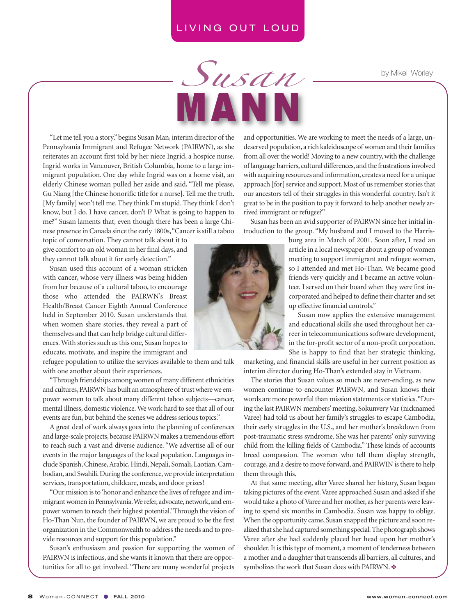**M A N N**

*Susan*

by Mikell Worley

"Let me tell you a story,"begins Susan Man, interim director of the Pennsylvania Immigrant and Refugee Network (PAIRWN), as she reiterates an account first told by her niece Ingrid, a hospice nurse. Ingrid works in Vancouver, British Columbia, home to a large immigrant population. One day while Ingrid was on a home visit, an elderly Chinese woman pulled her aside and said, "Tell me please, Gu Niang [the Chinese honorific title for a nurse].Tell me the truth. [My family] won't tell me.They think I'm stupid.They think I don't know, but I do. I have cancer, don't I? What is going to happen to me?" Susan laments that, even though there has been a large Chinese presence in Canada since the early 1800s,"Cancerisstill a taboo

topic of conversation. They cannot talk about it to give comfort to an old woman in her final days, and they cannot talk about it for early detection."

Susan used this account of a woman stricken with cancer, whose very illness was being hidden from her because of a cultural taboo, to encourage those who attended the PAIRWN's Breast Health/Breast Cancer Eighth Annual Conference held in September 2010. Susan understands that when women share stories, they reveal a part of themselves and that can help bridge cultural differences. With stories such as this one, Susan hopes to educate, motivate, and inspire the immigrant and

refugee population to utilize the services available to them and talk with one another about their experiences.

"Through friendships amongwomen of many different ethnicities and cultures, PAIRWN has built an atmosphere of trust where we empower women to talk about many different taboo subjects—cancer, mental illness, domestic violence.We work hard to see that all of our events are fun, but behind the scenes we address serious topics."

A great deal of work always goes into the planning of conferences and large-scale projects, because PAIRWN makes a tremendous effort to reach such a vast and diverse audience. "We advertise all of our events in the major languages of the local population. Languages include Spanish, Chinese, Arabic, Hindi, Nepali, Somali, Laotian, Cambodian, and Swahili. During the conference, we provide interpretation services, transportation, childcare, meals, and door prizes!

"Our mission isto'honor and enhance the lives of refugee and immigrant women in Pennsylvania. We refer, advocate, network, and empower women to reach their highest potential.'Through the vision of Ho-Than Nun, the founder of PAIRWN, we are proud to be the first organization in the Commonwealth to address the needs and to provide resources and support for this population."

Susan's enthusiasm and passion for supporting the women of PAIRWN is infectious, and she wants it known that there are opportunities for all to get involved. "There are many wonderful projects

and opportunities. We are working to meet the needs of a large, undeserved population, a rich kaleidoscope of women and their families from all over the world! Moving to a new country, with the challenge of language barriers, cultural differences, and the frustrationsinvolved with acquiring resources and information, creates a need for a unique approach [for] service and support. Most of us remember stories that our ancestors tell of their struggles in this wonderful country. Isn't it great to be in the position to pay it forward to help another newly arrived immigrant or refugee?"

Susan has been an avid supporter of PAIRWN since her initial introduction to the group. "My husband and I moved to the Harris-

> burg area in March of 2001. Soon after, I read an article in a local newspaper about a group of women meeting to support immigrant and refugee women, so I attended and met Ho-Than. We became good friends very quickly and I became an active volunteer. I served on their board when they were first incorporated and helped to define their charter and set up effective financial controls."

> Susan now applies the extensive management and educational skills she used throughout her career in telecommunications software development, in the for-profit sector of a non-profit corporation. She is happy to find that her strategic thinking,

marketing, and financial skills are useful in her current position as interim director during Ho-Than's extended stay in Vietnam.

The stories that Susan values so much are never-ending, as new women continue to encounter PAIRWN, and Susan knows their words are more powerful than mission statements or statistics. "During the last PAIRWN members' meeting, Sokunvery Var (nicknamed Varee) had told us about her family's struggles to escape Cambodia, their early struggles in the U.S., and her mother's breakdown from post-traumatic stress syndrome. She was her parents' only surviving child from the killing fields of Cambodia." These kinds of accounts breed compassion. The women who tell them display strength, courage, and a desire to move forward, and PAIRWIN isthere to help them through this.

At that same meeting, after Varee shared her history, Susan began taking pictures of the event.Varee approached Susan and asked if she would take a photo of Varee and her mother, as her parents were leaving to spend six months in Cambodia. Susan was happy to oblige. When the opportunity came, Susan snapped the picture and soon realized that she had captured something special. The photograph shows Varee after she had suddenly placed her head upon her mother's shoulder.It is this type of moment, a moment of tenderness between a mother and a daughter that transcends all barriers, all cultures, and symbolizes the work that Susan does with PAIRWN.  $\clubsuit$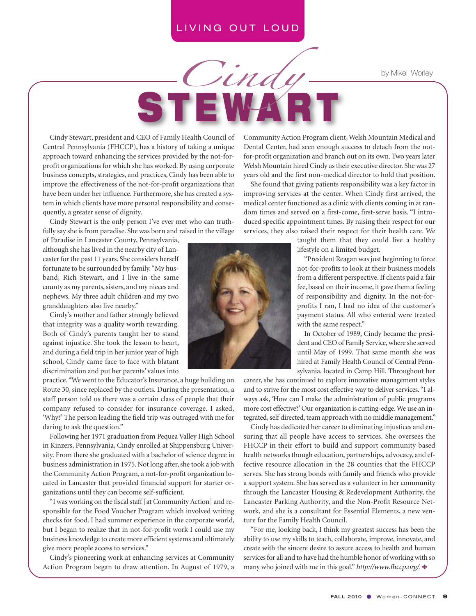**S T EWA R T**

*Cindy*

by Mikell Worley

Cindy Stewart, president and CEO of Family Health Council of Central Pennsylvania (FHCCP), has a history of taking a unique approach toward enhancing the services provided by the not-forprofit organizations for which she has worked. By using corporate business concepts, strategies, and practices, Cindy has been able to improve the effectiveness of the not-for-profit organizations that have been under her influence. Furthermore, she has created a system in which clients have more personal responsibility and consequently, a greater sense of dignity.

Cindy Stewart is the only person I've ever met who can truthfully say she is from paradise. She was born and raised in the village

of Paradise in Lancaster County, Pennsylvania, although she has lived in the nearby city of Lancaster for the past 11 years. She considers herself fortunate to be surrounded by family."My husband, Rich Stewart, and I live in the same county as my parents, sisters, and my nieces and nephews. My three adult children and my two granddaughters also live nearby."

Cindy's mother and father strongly believed that integrity was a quality worth rewarding. Both of Cindy's parents taught her to stand against injustice. She took the lesson to heart, and during a field trip in her junior year of high school, Cindy came face to face with blatant discrimination and put her parents' values into

practice."We went to the Educator's Insurance, a huge building on Route 30, since replaced by the outlets. During the presentation, a staff person told us there was a certain class of people that their company refused to consider for insurance coverage. I asked, 'Why?' The person leading the field trip was outraged with me for daring to ask the question."

Following her 1971 graduation from Pequea Valley High School in Kinzers, Pennsylvania, Cindy enrolled at Shippensburg University. From there she graduated with a bachelor of science degree in business administration in 1975. Not long after, she took a job with the Community Action Program, a not-for-profit organization located in Lancaster that provided financial support for starter organizations until they can become self-sufficient.

"I was working on the fiscal staff [at Community Action] and responsible for the Food Voucher Program which involved writing checks for food. I had summer experience in the corporate world, but I began to realize that in not-for-profit work I could use my business knowledge to create more efficient systems and ultimately give more people access to services."

Cindy's pioneering work at enhancing services at Community Action Program began to draw attention. In August of 1979, a

Community Action Program client,Welsh Mountain Medical and Dental Center, had seen enough success to detach from the notfor-profit organization and branch out on its own. Two years later Welsh Mountain hired Cindy as their executive director. She was 27 years old and the first non-medical director to hold that position.

She found that giving patients responsibility was a key factor in improving services at the center. When Cindy first arrived, the medical center functioned as a clinic with clients coming in at random times and served on a first-come, first-serve basis. "I introduced specific appointment times. By raising their respect for our services, they also raised their respect for their health care. We

> taught them that they could live a healthy lifestyle on a limited budget.

"President Reagan was just beginning to force not-for-profits to look at their business models from a different perspective. If clients paid a fair fee, based on their income, it gave them a feeling of responsibility and dignity. In the not-forprofits I ran, I had no idea of the customer's payment status. All who entered were treated with the same respect."

In October of 1989, Cindy became the president and CEO of Family Service, where she served until May of 1999. That same month she was hired at Family Health Council of Central Pennsylvania, located in Camp Hill. Throughout her

career, she has continued to explore innovative management styles and to strive for the most cost effective way to deliver services. "I always ask, 'How can I make the administration of public programs more cost effective?'Our organization is cutting-edge.We use an integrated, self directed, team approach with no middle management."

Cindy has dedicated her career to eliminating injustices and ensuring that all people have access to services. She oversees the FHCCP in their effort to build and support community based health networks though education, partnerships, advocacy, and effective resource allocation in the 28 counties that the FHCCP serves. She has strong bonds with family and friends who provide a support system. She has served as a volunteer in her community through the Lancaster Housing & Redevelopment Authority, the Lancaster Parking Authority, and the Non-Profit Resource Network, and she is a consultant for Essential Elements, a new venture for the Family Health Council.

"For me, looking back, I think my greatest success has been the ability to use my skills to teach, collaborate, improve, innovate, and create with the sincere desire to assure access to health and human services for all and to have had the humble honor of working with so many who joined with me in this goal." http://www.fhccp.org/.  $\bullet$